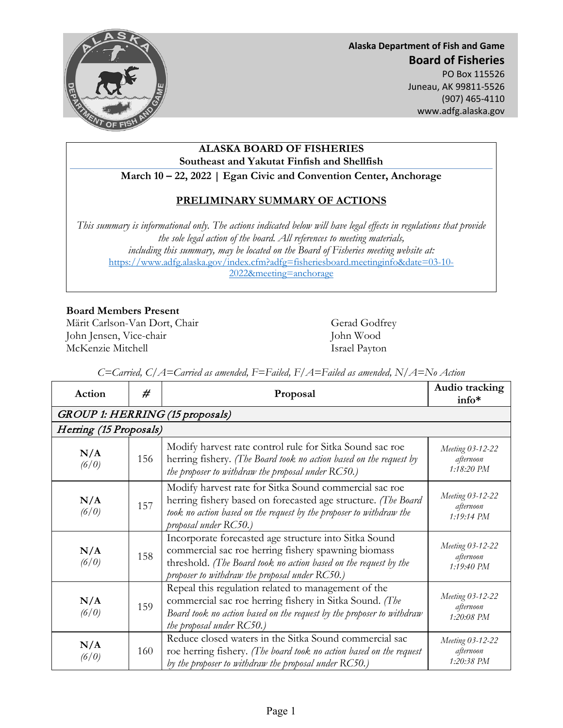

**Alaska Department of Fish and Game Board of Fisheries**  PO Box 115526 Juneau, AK 99811-5526

(907) 465-4110 www.adfg.alaska.gov

#### **ALASKA BOARD OF FISHERIES Southeast and Yakutat Finfish and Shellfish**

**March 10 – 22, 2022 | Egan Civic and Convention Center, Anchorage**

#### **PRELIMINARY SUMMARY OF ACTIONS**

*This summary is informational only. The actions indicated below will have legal effects in regulations that provide the sole legal action of the board. All references to meeting materials, including this summary, may be located on the Board of Fisheries meeting website at:* [https://www.adfg.alaska.gov/index.cfm?adfg=fisheriesboard.meetinginfo&date=03-10-](https://www.adfg.alaska.gov/index.cfm?adfg=fisheriesboard.meetinginfo&date=03-10-2022&meeting=anchorage) [2022&meeting=anchorage](https://www.adfg.alaska.gov/index.cfm?adfg=fisheriesboard.meetinginfo&date=03-10-2022&meeting=anchorage)

#### **Board Members Present**

Märit Carlson-Van Dort, Chair Gerad Godfrey John Jensen, Vice-chair John Wood McKenzie Mitchell **Israel Payton** 

*C=Carried, C/A=Carried as amended, F=Failed, F/A=Failed as amended, N/A=No Action*

| Action                 | #   | Proposal                                                                                                                                                                                                                           | Audio tracking<br>info*                       |
|------------------------|-----|------------------------------------------------------------------------------------------------------------------------------------------------------------------------------------------------------------------------------------|-----------------------------------------------|
|                        |     | GROUP 1: HERRING (15 proposals)                                                                                                                                                                                                    |                                               |
| Herring (15 Proposals) |     |                                                                                                                                                                                                                                    |                                               |
| N/A<br>(6/0)           | 156 | Modify harvest rate control rule for Sitka Sound sac roe<br>herring fishery. (The Board took no action based on the request by<br>the proposer to withdraw the proposal under $RC50$ .)                                            | Meeting 03-12-22<br>afternoon<br>$1:18:20$ PM |
| N/A<br>(6/0)           | 157 | Modify harvest rate for Sitka Sound commercial sac roe<br>herring fishery based on forecasted age structure. (The Board<br>took no action based on the request by the proposer to withdraw the<br>proposal under RC50.)            | Meeting 03-12-22<br>afternoon<br>$1:19:14$ PM |
| N/A<br>(6/0)           | 158 | Incorporate forecasted age structure into Sitka Sound<br>commercial sac roe herring fishery spawning biomass<br>threshold. (The Board took no action based on the request by the<br>proposer to withdraw the proposal under RC50.) | Meeting 03-12-22<br>afternoon<br>1:19:40 PM   |
| N/A<br>(6/0)           | 159 | Repeal this regulation related to management of the<br>commercial sac roe herring fishery in Sitka Sound. (The<br>Board took no action based on the request by the proposer to withdraw<br>the proposal under RC50.)               | Meeting 03-12-22<br>afternoon<br>$1:20:08$ PM |
| N/A<br>(6/0)           | 160 | Reduce closed waters in the Sitka Sound commercial sac<br>roe herring fishery. (The board took no action based on the request<br>by the proposer to withdraw the proposal under $RC50$ .)                                          | Meeting 03-12-22<br>afternoon<br>1:20:38 PM   |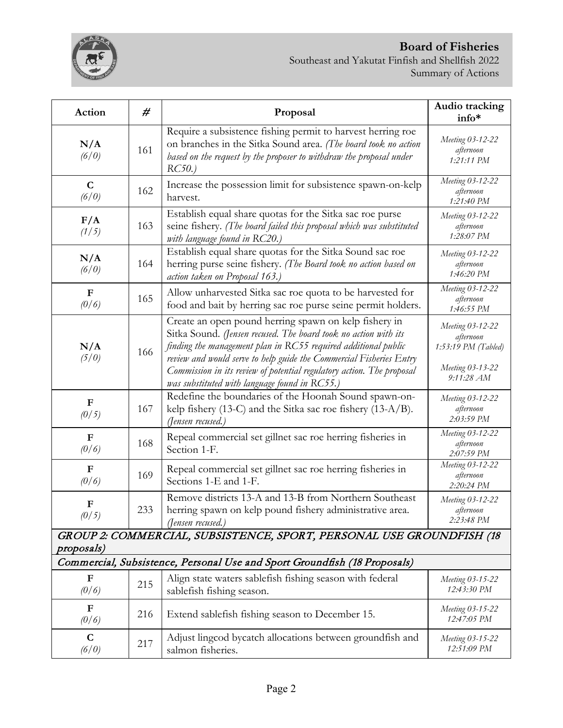

### **Board of Fisheries**  Southeast and Yakutat Finfish and Shellfish 2022

Summary of Actions

| Action                                                                                  | #   | Proposal                                                                                                                                                                                                                                                                                                                                                                                    | Audio tracking<br>info*                                                                  |  |
|-----------------------------------------------------------------------------------------|-----|---------------------------------------------------------------------------------------------------------------------------------------------------------------------------------------------------------------------------------------------------------------------------------------------------------------------------------------------------------------------------------------------|------------------------------------------------------------------------------------------|--|
| N/A<br>(6/0)                                                                            | 161 | Require a subsistence fishing permit to harvest herring roe<br>on branches in the Sitka Sound area. (The board took no action<br>based on the request by the proposer to withdraw the proposal under<br>$RC50$ .)                                                                                                                                                                           | Meeting 03-12-22<br>afternoon<br>1:21:11 PM                                              |  |
| $\mathbf C$<br>(6/0)                                                                    | 162 | Increase the possession limit for subsistence spawn-on-kelp<br>harvest.                                                                                                                                                                                                                                                                                                                     | Meeting 03-12-22<br>afternoon<br>1:21:40 PM                                              |  |
| F/A<br>(1/5)                                                                            | 163 | Establish equal share quotas for the Sitka sac roe purse<br>seine fishery. (The board failed this proposal which was substituted<br>with language found in RC20.)                                                                                                                                                                                                                           | Meeting 03-12-22<br>afternoon<br>1:28:07 PM                                              |  |
| N/A<br>(6/0)                                                                            | 164 | Establish equal share quotas for the Sitka Sound sac roe<br>herring purse seine fishery. (The Board took no action based on<br>action taken on Proposal 163.)                                                                                                                                                                                                                               | Meeting 03-12-22<br>afternoon<br>1:46:20 PM                                              |  |
| ${\bf F}$<br>(0/6)                                                                      | 165 | Allow unharvested Sitka sac roe quota to be harvested for<br>food and bait by herring sac roe purse seine permit holders.                                                                                                                                                                                                                                                                   | Meeting 03-12-22<br>afternoon<br>1:46:55 PM                                              |  |
| N/A<br>(5/0)                                                                            | 166 | Create an open pound herring spawn on kelp fishery in<br>Sitka Sound. (Jensen recused. The board took no action with its<br>finding the management plan in RC55 required additional public<br>review and would serve to help guide the Commercial Fisheries Entry<br>Commission in its review of potential regulatory action. The proposal<br>was substituted with language found in RC55.) | Meeting 03-12-22<br>afternoon<br>1:53:19 PM (Tabled)<br>Meeting 03-13-22<br>$9:11:28$ AM |  |
| ${\bf F}$<br>(0/5)                                                                      | 167 | Redefine the boundaries of the Hoonah Sound spawn-on-<br>kelp fishery (13-C) and the Sitka sac roe fishery (13-A/B).<br>(Jensen recused.)                                                                                                                                                                                                                                                   | Meeting 03-12-22<br>afternoon<br>2:03:59 PM                                              |  |
| $\mathbf F$<br>(0/6)                                                                    | 168 | Repeal commercial set gillnet sac roe herring fisheries in<br>Section 1-F.                                                                                                                                                                                                                                                                                                                  | Meeting 03-12-22<br>afternoon<br>2:07:59 PM                                              |  |
| $\mathbf F$<br>(0/6)                                                                    | 169 | Repeal commercial set gillnet sac roe herring fisheries in<br>Sections 1-E and 1-F.                                                                                                                                                                                                                                                                                                         | Meeting 03-12-22<br>afternoon<br>2:20:24 PM                                              |  |
| $\mathbf F$<br>(0/5)                                                                    | 233 | Remove districts 13-A and 13-B from Northern Southeast<br>herring spawn on kelp pound fishery administrative area.<br>(Jensen recused.)                                                                                                                                                                                                                                                     | Meeting 03-12-22<br>afternoon<br>2:23:48 PM                                              |  |
|                                                                                         |     | GROUP 2: COMMERCIAL, SUBSISTENCE, SPORT, PERSONAL USE GROUNDFISH (18                                                                                                                                                                                                                                                                                                                        |                                                                                          |  |
| proposals)<br>Commercial, Subsistence, Personal Use and Sport Groundfish (18 Proposals) |     |                                                                                                                                                                                                                                                                                                                                                                                             |                                                                                          |  |
| F<br>(0/6)                                                                              | 215 | Align state waters sablefish fishing season with federal<br>sablefish fishing season.                                                                                                                                                                                                                                                                                                       | Meeting 03-15-22<br>12:43:30 PM                                                          |  |
| F<br>(0/6)                                                                              | 216 | Extend sablefish fishing season to December 15.                                                                                                                                                                                                                                                                                                                                             | Meeting 03-15-22<br>12:47:05 PM                                                          |  |
| $\mathbf C$<br>(6/0)                                                                    | 217 | Adjust lingcod bycatch allocations between groundfish and<br>salmon fisheries.                                                                                                                                                                                                                                                                                                              | Meeting 03-15-22<br>12:51:09 PM                                                          |  |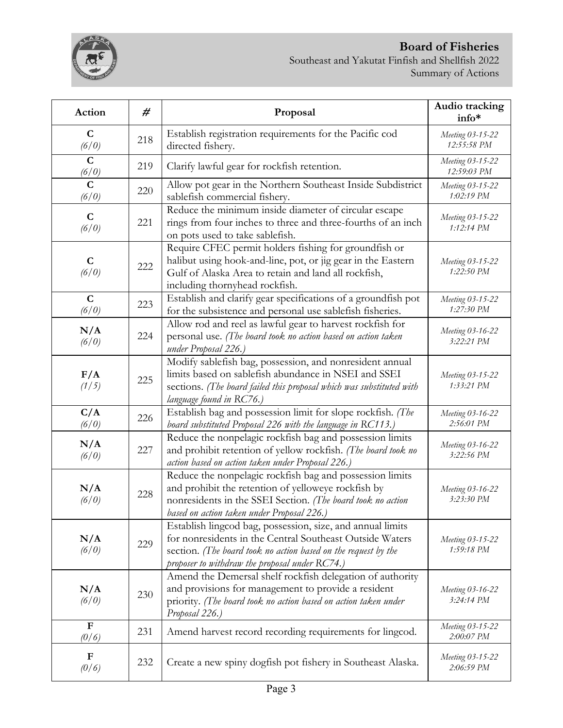

| Action               | #   | Proposal                                                                                                                                                                                                                                   | Audio tracking<br>info*         |
|----------------------|-----|--------------------------------------------------------------------------------------------------------------------------------------------------------------------------------------------------------------------------------------------|---------------------------------|
| $\mathbf C$<br>(6/0) | 218 | Establish registration requirements for the Pacific cod<br>directed fishery.                                                                                                                                                               | Meeting 03-15-22<br>12:55:58 PM |
| $\mathbf C$<br>(6/0) | 219 | Clarify lawful gear for rockfish retention.                                                                                                                                                                                                | Meeting 03-15-22<br>12:59:03 PM |
| $\mathbf C$<br>(6/0) | 220 | Allow pot gear in the Northern Southeast Inside Subdistrict<br>sablefish commercial fishery.                                                                                                                                               | Meeting 03-15-22<br>1:02:19 PM  |
| $\mathbf C$<br>(6/0) | 221 | Reduce the minimum inside diameter of circular escape<br>rings from four inches to three and three-fourths of an inch<br>on pots used to take sablefish.                                                                                   | Meeting 03-15-22<br>1:12:14 PM  |
| $\mathbf C$<br>(6/0) | 222 | Require CFEC permit holders fishing for groundfish or<br>halibut using hook-and-line, pot, or jig gear in the Eastern<br>Gulf of Alaska Area to retain and land all rockfish,<br>including thornyhead rockfish.                            | Meeting 03-15-22<br>1:22:50 PM  |
| $\mathbf C$<br>(6/0) | 223 | Establish and clarify gear specifications of a groundfish pot<br>for the subsistence and personal use sablefish fisheries.                                                                                                                 | Meeting 03-15-22<br>1:27:30 PM  |
| N/A<br>(6/0)         | 224 | Allow rod and reel as lawful gear to harvest rockfish for<br>personal use. (The board took no action based on action taken<br>under Proposal 226.)                                                                                         | Meeting 03-16-22<br>3:22:21 PM  |
| F/A<br>(1/5)         | 225 | Modify sablefish bag, possession, and nonresident annual<br>limits based on sablefish abundance in NSEI and SSEI<br>sections. (The board failed this proposal which was substituted with<br>language found in RC76.)                       | Meeting 03-15-22<br>1:33:21 PM  |
| C/A<br>(6/0)         | 226 | Establish bag and possession limit for slope rockfish. (The<br>board substituted Proposal 226 with the language in RC113.)                                                                                                                 | Meeting 03-16-22<br>2:56:01 PM  |
| N/A<br>(6/0)         | 227 | Reduce the nonpelagic rockfish bag and possession limits<br>and prohibit retention of yellow rockfish. (The board took no<br>action based on action taken under Proposal 226.)                                                             | Meeting 03-16-22<br>3:22:56 PM  |
| N/A<br>(6/0)         | 228 | Reduce the nonpelagic rockfish bag and possession limits<br>and prohibit the retention of yelloweye rockfish by<br>nonresidents in the SSEI Section. (The board took no action<br>based on action taken under Proposal 226.)               | Meeting 03-16-22<br>3:23:30 PM  |
| N/A<br>(6/0)         | 229 | Establish lingcod bag, possession, size, and annual limits<br>for nonresidents in the Central Southeast Outside Waters<br>section. (The board took no action based on the request by the<br>proposer to withdraw the proposal under RC74.) | Meeting 03-15-22<br>1:59:18 PM  |
| N/A<br>(6/0)         | 230 | Amend the Demersal shelf rockfish delegation of authority<br>and provisions for management to provide a resident<br>priority. (The board took no action based on action taken under<br>Proposal 226.)                                      | Meeting 03-16-22<br>3:24:14 PM  |
| $\mathbf F$<br>(0/6) | 231 | Amend harvest record recording requirements for lingcod.                                                                                                                                                                                   | Meeting 03-15-22<br>2:00:07 PM  |
| $\mathbf F$<br>(0/6) | 232 | Create a new spiny dogfish pot fishery in Southeast Alaska.                                                                                                                                                                                | Meeting 03-15-22<br>2:06:59 PM  |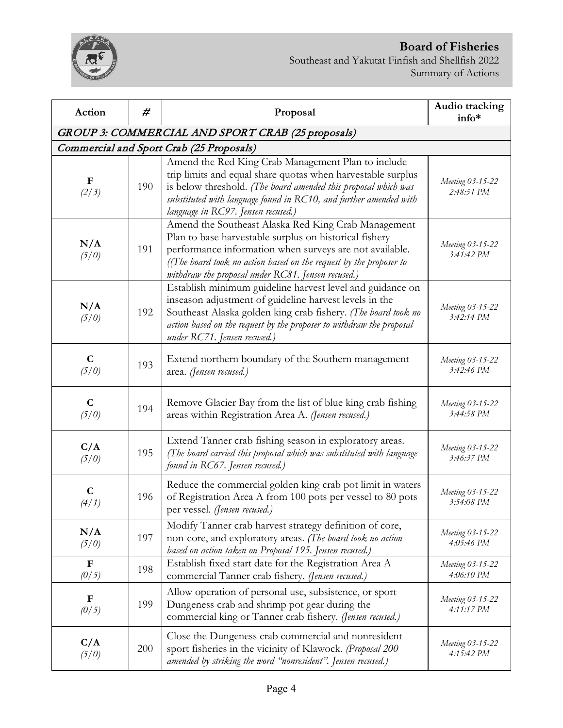

| Action               | #   | Proposal                                                                                                                                                                                                                                                                                            | Audio tracking<br>info*        |
|----------------------|-----|-----------------------------------------------------------------------------------------------------------------------------------------------------------------------------------------------------------------------------------------------------------------------------------------------------|--------------------------------|
|                      |     | GROUP 3: COMMERCIAL AND SPORT CRAB (25 proposals)                                                                                                                                                                                                                                                   |                                |
|                      |     | Commercial and Sport Crab (25 Proposals)                                                                                                                                                                                                                                                            |                                |
| ${\bf F}$<br>(2/3)   | 190 | Amend the Red King Crab Management Plan to include<br>trip limits and equal share quotas when harvestable surplus<br>is below threshold. (The board amended this proposal which was<br>substituted with language found in RC10, and further amended with<br>language in RC97. Jensen recused.)      | Meeting 03-15-22<br>2:48:51 PM |
| N/A<br>(5/0)         | 191 | Amend the Southeast Alaska Red King Crab Management<br>Plan to base harvestable surplus on historical fishery<br>performance information when surveys are not available.<br>(The board took no action based on the request by the proposer to<br>withdraw the proposal under RC81. Jensen recused.) | Meeting 03-15-22<br>3:41:42 PM |
| N/A<br>(5/0)         | 192 | Establish minimum guideline harvest level and guidance on<br>inseason adjustment of guideline harvest levels in the<br>Southeast Alaska golden king crab fishery. (The board took no<br>action based on the request by the proposer to withdraw the proposal<br>under RC71. Jensen recused.)        | Meeting 03-15-22<br>3:42:14 PM |
| $\mathbf C$<br>(5/0) | 193 | Extend northern boundary of the Southern management<br>area. (Jensen recused.)                                                                                                                                                                                                                      | Meeting 03-15-22<br>3:42:46 PM |
| $\mathbf C$<br>(5/0) | 194 | Remove Glacier Bay from the list of blue king crab fishing<br>areas within Registration Area A. (Jensen recused.)                                                                                                                                                                                   | Meeting 03-15-22<br>3:44:58 PM |
| C/A<br>(5/0)         | 195 | Extend Tanner crab fishing season in exploratory areas.<br>(The board carried this proposal which was substituted with language<br>found in RC67. Jensen recused.)                                                                                                                                  | Meeting 03-15-22<br>3:46:37 PM |
| $\mathbf C$<br>(4/1) | 196 | Reduce the commercial golden king crab pot limit in waters<br>of Registration Area A from 100 pots per vessel to 80 pots<br>per vessel. (Jensen recused.)                                                                                                                                           | Meeting 03-15-22<br>3:54:08 PM |
| N/A<br>(5/0)         | 197 | Modify Tanner crab harvest strategy definition of core,<br>non-core, and exploratory areas. (The board took no action<br>based on action taken on Proposal 195. Jensen recused.)                                                                                                                    | Meeting 03-15-22<br>4:05:46 PM |
| F<br>(0/5)           | 198 | Establish fixed start date for the Registration Area A<br>commercial Tanner crab fishery. (Jensen recused.)                                                                                                                                                                                         | Meeting 03-15-22<br>4:06:10 PM |
| $\mathbf F$<br>(0/5) | 199 | Allow operation of personal use, subsistence, or sport<br>Dungeness crab and shrimp pot gear during the<br>commercial king or Tanner crab fishery. (Jensen recused.)                                                                                                                                | Meeting 03-15-22<br>4:11:17 PM |
| C/A<br>(5/0)         | 200 | Close the Dungeness crab commercial and nonresident<br>sport fisheries in the vicinity of Klawock. (Proposal 200<br>amended by striking the word "nonresident". Jensen recused.)                                                                                                                    | Meeting 03-15-22<br>4:15:42 PM |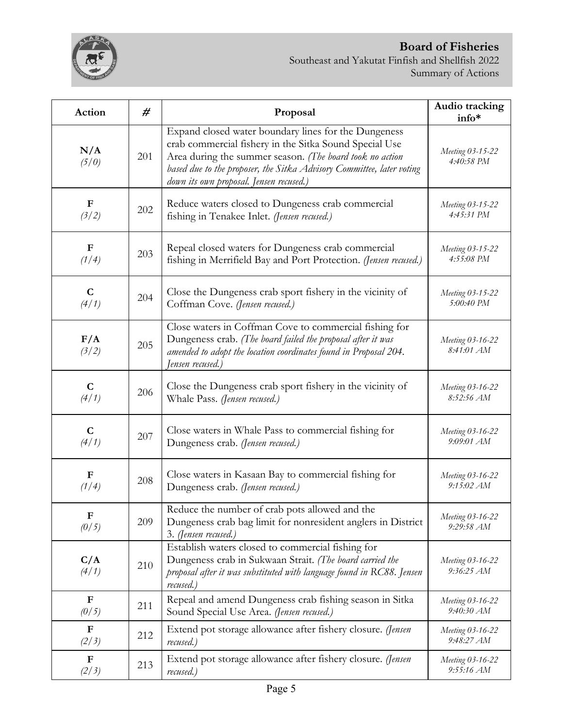

#### **Board of Fisheries**  Southeast and Yakutat Finfish and Shellfish 2022

Summary of Actions

| <b>Action</b> | #   | Proposal                                                                                                                                                                                                                                                                                       | Audio tracking<br>info*        |
|---------------|-----|------------------------------------------------------------------------------------------------------------------------------------------------------------------------------------------------------------------------------------------------------------------------------------------------|--------------------------------|
| N/A<br>(5/0)  | 201 | Expand closed water boundary lines for the Dungeness<br>crab commercial fishery in the Sitka Sound Special Use<br>Area during the summer season. (The board took no action<br>based due to the proposer, the Sitka Advisory Committee, later voting<br>down its own proposal. Jensen recused.) | Meeting 03-15-22<br>4:40:58 PM |
| $\mathbf{F}$  | 202 | Reduce waters closed to Dungeness crab commercial                                                                                                                                                                                                                                              | Meeting 03-15-22               |
| (3/2)         |     | fishing in Tenakee Inlet. (Jensen recused.)                                                                                                                                                                                                                                                    | 4:45:31 PM                     |
| $\mathbf F$   | 203 | Repeal closed waters for Dungeness crab commercial                                                                                                                                                                                                                                             | Meeting 03-15-22               |
| (1/4)         |     | fishing in Merrifield Bay and Port Protection. (Jensen recused.)                                                                                                                                                                                                                               | 4:55:08 PM                     |
| $\mathbf C$   | 204 | Close the Dungeness crab sport fishery in the vicinity of                                                                                                                                                                                                                                      | Meeting 03-15-22               |
| (4/1)         |     | Coffman Cove. (Jensen recused.)                                                                                                                                                                                                                                                                | 5:00:40 PM                     |
| F/A<br>(3/2)  | 205 | Close waters in Coffman Cove to commercial fishing for<br>Dungeness crab. (The board failed the proposal after it was<br>amended to adopt the location coordinates found in Proposal 204.<br>Jensen recused.)                                                                                  | Meeting 03-16-22<br>8:41:01 AM |
| $\mathbf C$   | 206 | Close the Dungeness crab sport fishery in the vicinity of                                                                                                                                                                                                                                      | Meeting 03-16-22               |
| (4/1)         |     | Whale Pass. (Jensen recused.)                                                                                                                                                                                                                                                                  | 8:52:56 AM                     |
| $\mathbf C$   | 207 | Close waters in Whale Pass to commercial fishing for                                                                                                                                                                                                                                           | Meeting 03-16-22               |
| (4/1)         |     | Dungeness crab. (Jensen recused.)                                                                                                                                                                                                                                                              | 9:09:01 AM                     |
| $\mathbf F$   | 208 | Close waters in Kasaan Bay to commercial fishing for                                                                                                                                                                                                                                           | Meeting 03-16-22               |
| (1/4)         |     | Dungeness crab. (Jensen recused.)                                                                                                                                                                                                                                                              | 9:15:02 AM                     |
| F<br>(0/5)    | 209 | Reduce the number of crab pots allowed and the<br>Dungeness crab bag limit for nonresident anglers in District<br>3. (Jensen recused.)                                                                                                                                                         | Meeting 03-16-22<br>9:29:58 AM |
| C/A<br>(4/1)  | 210 | Establish waters closed to commercial fishing for<br>Dungeness crab in Sukwaan Strait. (The board carried the<br>proposal after it was substituted with language found in RC88. Jensen<br>recused.)                                                                                            | Meeting 03-16-22<br>9:36:25 AM |
| $\mathbf F$   | 211 | Repeal and amend Dungeness crab fishing season in Sitka                                                                                                                                                                                                                                        | Meeting 03-16-22               |
| (0/5)         |     | Sound Special Use Area. (Jensen recused.)                                                                                                                                                                                                                                                      | 9:40:30 AM                     |
| $\mathbf F$   | 212 | Extend pot storage allowance after fishery closure. (Jensen                                                                                                                                                                                                                                    | Meeting 03-16-22               |
| (2/3)         |     | recused.)                                                                                                                                                                                                                                                                                      | 9:48:27 AM                     |
| $\mathbf F$   | 213 | Extend pot storage allowance after fishery closure. (Jensen                                                                                                                                                                                                                                    | Meeting 03-16-22               |
| (2/3)         |     | recused.)                                                                                                                                                                                                                                                                                      | 9:55:16 AM                     |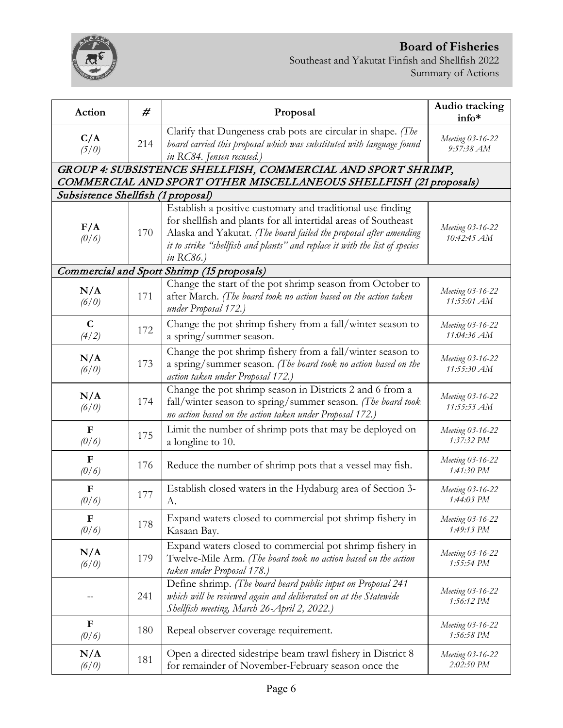

| <b>Action</b>                      | #   | Proposal                                                                                                                                                                                                                                                                                      | Audio tracking<br>info*         |
|------------------------------------|-----|-----------------------------------------------------------------------------------------------------------------------------------------------------------------------------------------------------------------------------------------------------------------------------------------------|---------------------------------|
| C/A<br>(5/0)                       | 214 | Clarify that Dungeness crab pots are circular in shape. (The<br>board carried this proposal which was substituted with language found<br>in RC84. Jensen recused.)                                                                                                                            | Meeting 03-16-22<br>9:57:38 AM  |
|                                    |     | GROUP 4: SUBSISTENCE SHELLFISH, COMMERCIAL AND SPORT SHRIMP,                                                                                                                                                                                                                                  |                                 |
|                                    |     | COMMERCIAL AND SPORT OTHER MISCELLANEOUS SHELLFISH (21 proposals)                                                                                                                                                                                                                             |                                 |
| Subsistence Shellfish (1 proposal) |     |                                                                                                                                                                                                                                                                                               |                                 |
| F/A<br>(0/6)                       | 170 | Establish a positive customary and traditional use finding<br>for shellfish and plants for all intertidal areas of Southeast<br>Alaska and Yakutat. (The board failed the proposal after amending<br>it to strike "shellfish and plants" and replace it with the list of species<br>in RC86.) | Meeting 03-16-22<br>10:42:45 AM |
|                                    |     | Commercial and Sport Shrimp (15 proposals)                                                                                                                                                                                                                                                    |                                 |
| N/A<br>(6/0)                       | 171 | Change the start of the pot shrimp season from October to<br>after March. (The board took no action based on the action taken<br>under Proposal 172.)                                                                                                                                         | Meeting 03-16-22<br>11:55:01 AM |
| $\mathbf C$<br>(4/2)               | 172 | Change the pot shrimp fishery from a fall/winter season to<br>a spring/summer season.                                                                                                                                                                                                         | Meeting 03-16-22<br>11:04:36 AM |
| N/A<br>(6/0)                       | 173 | Change the pot shrimp fishery from a fall/winter season to<br>a spring/summer season. (The board took no action based on the<br>action taken under Proposal 172.)                                                                                                                             | Meeting 03-16-22<br>11:55:30 AM |
| N/A<br>(6/0)                       | 174 | Change the pot shrimp season in Districts 2 and 6 from a<br>fall/winter season to spring/summer season. (The board took<br>no action based on the action taken under Proposal 172.)                                                                                                           | Meeting 03-16-22<br>11:55:53 AM |
| $\mathbf{F}$<br>(0/6)              | 175 | Limit the number of shrimp pots that may be deployed on<br>a longline to 10.                                                                                                                                                                                                                  | Meeting 03-16-22<br>1:37:32 PM  |
| $\mathbf F$<br>(0/6)               | 176 | Reduce the number of shrimp pots that a vessel may fish.                                                                                                                                                                                                                                      | Meeting 03-16-22<br>1:41:30 PM  |
| F<br>(0/6)                         | 177 | Establish closed waters in the Hydaburg area of Section 3-<br>А.                                                                                                                                                                                                                              | Meeting 03-16-22<br>1:44:03 PM  |
| ${\bf F}$<br>(0/6)                 | 178 | Expand waters closed to commercial pot shrimp fishery in<br>Kasaan Bay.                                                                                                                                                                                                                       | Meeting 03-16-22<br>1:49:13 PM  |
| N/A<br>(6/0)                       | 179 | Expand waters closed to commercial pot shrimp fishery in<br>Twelve-Mile Arm. (The board took no action based on the action<br>taken under Proposal 178.)                                                                                                                                      | Meeting 03-16-22<br>1:55:54 PM  |
|                                    | 241 | Define shrimp. (The board heard public input on Proposal 241<br>which will be reviewed again and deliberated on at the Statewide<br>Shellfish meeting, March 26-April 2, 2022.)                                                                                                               | Meeting 03-16-22<br>1:56:12 PM  |
| $\mathbf F$<br>(0/6)               | 180 | Repeal observer coverage requirement.                                                                                                                                                                                                                                                         | Meeting 03-16-22<br>1:56:58 PM  |
| N/A<br>(6/0)                       | 181 | Open a directed sidestripe beam trawl fishery in District 8<br>for remainder of November-February season once the                                                                                                                                                                             | Meeting 03-16-22<br>2:02:50 PM  |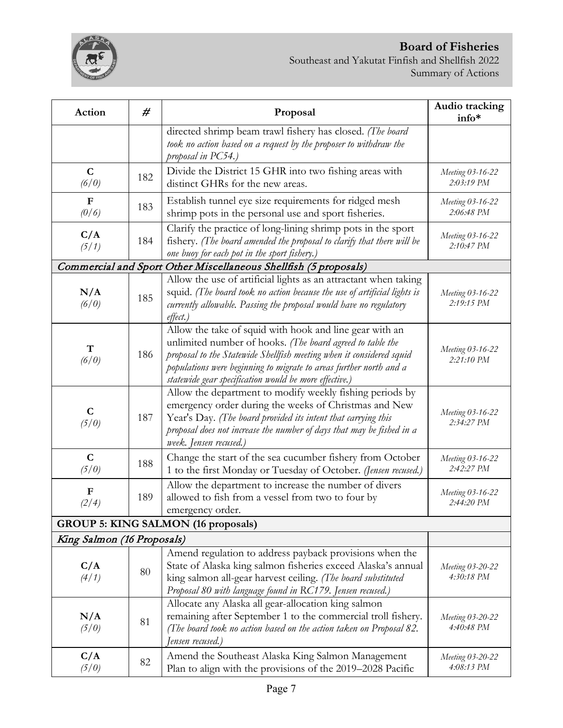

| Action                     | #   | Proposal                                                                                                                                                                                                                                                                                                                     | Audio tracking<br>info*        |
|----------------------------|-----|------------------------------------------------------------------------------------------------------------------------------------------------------------------------------------------------------------------------------------------------------------------------------------------------------------------------------|--------------------------------|
|                            |     | directed shrimp beam trawl fishery has closed. (The board<br>took no action based on a request by the proposer to withdraw the<br>proposal in PC54.)                                                                                                                                                                         |                                |
| $\mathbf C$<br>(6/0)       | 182 | Divide the District 15 GHR into two fishing areas with<br>distinct GHRs for the new areas.                                                                                                                                                                                                                                   | Meeting 03-16-22<br>2:03:19 PM |
| $\mathbf{F}$<br>(0/6)      | 183 | Establish tunnel eye size requirements for ridged mesh<br>shrimp pots in the personal use and sport fisheries.                                                                                                                                                                                                               | Meeting 03-16-22<br>2:06:48 PM |
| C/A<br>(5/1)               | 184 | Clarify the practice of long-lining shrimp pots in the sport<br>fishery. (The board amended the proposal to clarify that there will be<br>one buoy for each pot in the sport fishery.)                                                                                                                                       | Meeting 03-16-22<br>2:10:47 PM |
|                            |     | Commercial and Sport Other Miscellaneous Shellfish (5 proposals)                                                                                                                                                                                                                                                             |                                |
| N/A<br>(6/0)               | 185 | Allow the use of artificial lights as an attractant when taking<br>squid. (The board took no action because the use of artificial lights is<br>currently allowable. Passing the proposal would have no regulatory<br>$effect.$ )                                                                                             | Meeting 03-16-22<br>2:19:15 PM |
| T<br>(6/0)                 | 186 | Allow the take of squid with hook and line gear with an<br>unlimited number of hooks. (The board agreed to table the<br>proposal to the Statewide Shellfish meeting when it considered squid<br>populations were beginning to migrate to areas further north and a<br>statewide gear specification would be more effective.) | Meeting 03-16-22<br>2:21:10 PM |
| $\mathbf C$<br>(5/0)       | 187 | Allow the department to modify weekly fishing periods by<br>emergency order during the weeks of Christmas and New<br>Year's Day. (The board provided its intent that carrying this<br>proposal does not increase the number of days that may be fished in a<br>week. Jensen recused.)                                        | Meeting 03-16-22<br>2:34:27 PM |
| $\mathbf C$<br>(5/0)       | 188 | Change the start of the sea cucumber fishery from October<br>1 to the first Monday or Tuesday of October. (Jensen recused.)                                                                                                                                                                                                  | Meeting 03-16-22<br>2:42:27 PM |
| ${\bf F}$<br>(2/4)         | 189 | Allow the department to increase the number of divers<br>allowed to fish from a vessel from two to four by<br>emergency order.                                                                                                                                                                                               | Meeting 03-16-22<br>2:44:20 PM |
|                            |     | <b>GROUP 5: KING SALMON (16 proposals)</b>                                                                                                                                                                                                                                                                                   |                                |
| King Salmon (16 Proposals) |     |                                                                                                                                                                                                                                                                                                                              |                                |
| C/A<br>(4/1)               | 80  | Amend regulation to address payback provisions when the<br>State of Alaska king salmon fisheries exceed Alaska's annual<br>king salmon all-gear harvest ceiling. (The board substituted<br>Proposal 80 with language found in RC179. Jensen recused.)                                                                        | Meeting 03-20-22<br>4:30:18 PM |
| N/A<br>(5/0)               | 81  | Allocate any Alaska all gear-allocation king salmon<br>remaining after September 1 to the commercial troll fishery.<br>(The board took no action based on the action taken on Proposal 82.<br>Jensen recused.)                                                                                                               | Meeting 03-20-22<br>4:40:48 PM |
| C/A<br>(5/0)               | 82  | Amend the Southeast Alaska King Salmon Management<br>Plan to align with the provisions of the 2019–2028 Pacific                                                                                                                                                                                                              | Meeting 03-20-22<br>4:08:13 PM |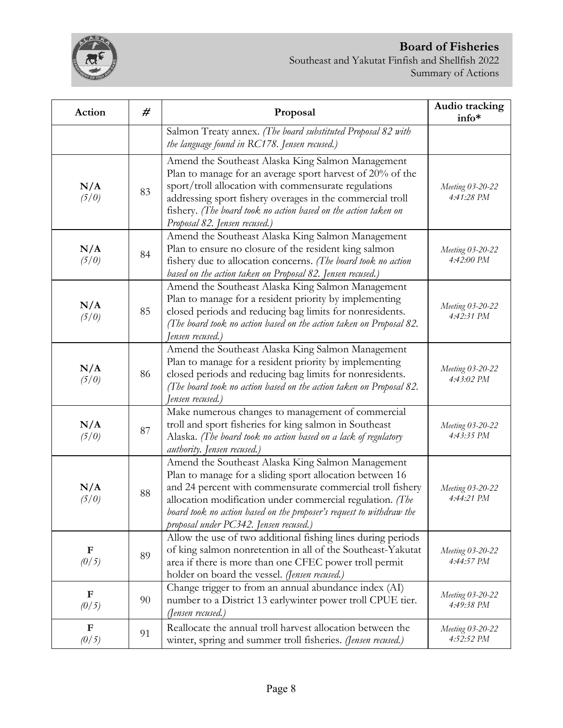

| Action               | #  | Proposal                                                                                                                                                                                                                                                                                                                                                  | Audio tracking<br>info*        |
|----------------------|----|-----------------------------------------------------------------------------------------------------------------------------------------------------------------------------------------------------------------------------------------------------------------------------------------------------------------------------------------------------------|--------------------------------|
|                      |    | Salmon Treaty annex. (The board substituted Proposal 82 with<br>the language found in RC178. Jensen recused.)                                                                                                                                                                                                                                             |                                |
| N/A<br>(5/0)         | 83 | Amend the Southeast Alaska King Salmon Management<br>Plan to manage for an average sport harvest of 20% of the<br>sport/troll allocation with commensurate regulations<br>addressing sport fishery overages in the commercial troll<br>fishery. (The board took no action based on the action taken on<br>Proposal 82. Jensen recused.)                   | Meeting 03-20-22<br>4:41:28 PM |
| N/A<br>(5/0)         | 84 | Amend the Southeast Alaska King Salmon Management<br>Plan to ensure no closure of the resident king salmon<br>fishery due to allocation concerns. (The board took no action<br>based on the action taken on Proposal 82. Jensen recused.)                                                                                                                 | Meeting 03-20-22<br>4:42:00 PM |
| N/A<br>(5/0)         | 85 | Amend the Southeast Alaska King Salmon Management<br>Plan to manage for a resident priority by implementing<br>closed periods and reducing bag limits for nonresidents.<br>(The board took no action based on the action taken on Proposal 82.<br>Jensen recused.)                                                                                        | Meeting 03-20-22<br>4:42:31 PM |
| N/A<br>(5/0)         | 86 | Amend the Southeast Alaska King Salmon Management<br>Plan to manage for a resident priority by implementing<br>closed periods and reducing bag limits for nonresidents.<br>(The board took no action based on the action taken on Proposal 82.<br>Jensen recused.)                                                                                        | Meeting 03-20-22<br>4:43:02 PM |
| N/A<br>(5/0)         | 87 | Make numerous changes to management of commercial<br>troll and sport fisheries for king salmon in Southeast<br>Alaska. (The board took no action based on a lack of regulatory<br><i>authority</i> . Jensen recused.)                                                                                                                                     | Meeting 03-20-22<br>4:43:35 PM |
| N/A<br>(5/0)         | 88 | Amend the Southeast Alaska King Salmon Management<br>Plan to manage for a sliding sport allocation between 16<br>and 24 percent with commensurate commercial troll fishery<br>allocation modification under commercial regulation. (The<br>board took no action based on the proposer's request to withdraw the<br>proposal under PC342. Jensen recused.) | Meeting 03-20-22<br>4:44:21 PM |
| $\mathbf F$<br>(0/5) | 89 | Allow the use of two additional fishing lines during periods<br>of king salmon nonretention in all of the Southeast-Yakutat<br>area if there is more than one CFEC power troll permit<br>holder on board the vessel. (Jensen recused.)                                                                                                                    | Meeting 03-20-22<br>4:44:57 PM |
| $\mathbf F$<br>(0/5) | 90 | Change trigger to from an annual abundance index (AI)<br>number to a District 13 earlywinter power troll CPUE tier.<br>(Jensen recused.)                                                                                                                                                                                                                  | Meeting 03-20-22<br>4:49:38 PM |
| $\mathbf F$<br>(0/5) | 91 | Reallocate the annual troll harvest allocation between the<br>winter, spring and summer troll fisheries. (Jensen recused.)                                                                                                                                                                                                                                | Meeting 03-20-22<br>4:52:52 PM |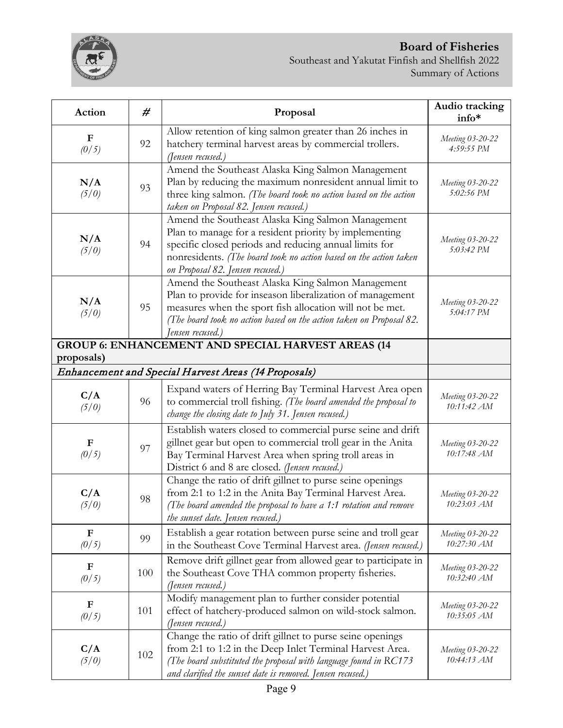

#### **Board of Fisheries**  Southeast and Yakutat Finfish and Shellfish 2022

Summary of Actions

| <b>Action</b>                                                           | #   | Proposal                                                                                                                                                                                                                                                                       | Audio tracking<br>info*         |
|-------------------------------------------------------------------------|-----|--------------------------------------------------------------------------------------------------------------------------------------------------------------------------------------------------------------------------------------------------------------------------------|---------------------------------|
| $\mathbf F$<br>(0/5)                                                    | 92  | Allow retention of king salmon greater than 26 inches in<br>hatchery terminal harvest areas by commercial trollers.<br>(Jensen recused.)                                                                                                                                       | Meeting 03-20-22<br>4:59:55 PM  |
| N/A<br>(5/0)                                                            | 93  | Amend the Southeast Alaska King Salmon Management<br>Plan by reducing the maximum nonresident annual limit to<br>three king salmon. (The board took no action based on the action<br>taken on Proposal 82. Jensen recused.)                                                    | Meeting 03-20-22<br>5:02:56 PM  |
| N/A<br>(5/0)                                                            | 94  | Amend the Southeast Alaska King Salmon Management<br>Plan to manage for a resident priority by implementing<br>specific closed periods and reducing annual limits for<br>nonresidents. (The board took no action based on the action taken<br>on Proposal 82. Jensen recused.) | Meeting 03-20-22<br>5:03:42 PM  |
| N/A<br>(5/0)                                                            | 95  | Amend the Southeast Alaska King Salmon Management<br>Plan to provide for inseason liberalization of management<br>measures when the sport fish allocation will not be met.<br>(The board took no action based on the action taken on Proposal 82.<br>Jensen recused.)          | Meeting 03-20-22<br>5:04:17 PM  |
| <b>GROUP 6: ENHANCEMENT AND SPECIAL HARVEST AREAS (14</b><br>proposals) |     |                                                                                                                                                                                                                                                                                |                                 |
| Enhancement and Special Harvest Areas (14 Proposals)                    |     |                                                                                                                                                                                                                                                                                |                                 |
| C/A<br>(5/0)                                                            | 96  | Expand waters of Herring Bay Terminal Harvest Area open<br>to commercial troll fishing. (The board amended the proposal to<br>change the closing date to July 31. Jensen recused.)                                                                                             | Meeting 03-20-22<br>10:11:42 AM |
| $\mathbf F$<br>(0/5)                                                    | 97  | Establish waters closed to commercial purse seine and drift<br>gillnet gear but open to commercial troll gear in the Anita<br>Bay Terminal Harvest Area when spring troll areas in<br>District 6 and 8 are closed. (Jensen recused.)                                           | Meeting 03-20-22<br>10:17:48 AM |
| C/A<br>(5/0)                                                            | 98  | Change the ratio of drift gillnet to purse seine openings<br>from 2:1 to 1:2 in the Anita Bay Terminal Harvest Area.<br>(The board amended the proposal to have a 1:1 rotation and remove<br>the sunset date. Jensen recused.)                                                 | Meeting 03-20-22<br>10:23:03 AM |
| F<br>(0/5)                                                              | 99  | Establish a gear rotation between purse seine and troll gear<br>in the Southeast Cove Terminal Harvest area. (Jensen recused.)                                                                                                                                                 | Meeting 03-20-22<br>10:27:30 AM |
| $\mathbf F$<br>(0/5)                                                    | 100 | Remove drift gillnet gear from allowed gear to participate in<br>the Southeast Cove THA common property fisheries.<br>(Jensen recused.)                                                                                                                                        | Meeting 03-20-22<br>10:32:40 AM |
| $\mathbf F$<br>(0/5)                                                    | 101 | Modify management plan to further consider potential<br>effect of hatchery-produced salmon on wild-stock salmon.<br>(Jensen recused.)                                                                                                                                          | Meeting 03-20-22<br>10:35:05 AM |
| C/A<br>(5/0)                                                            | 102 | Change the ratio of drift gillnet to purse seine openings<br>from 2:1 to 1:2 in the Deep Inlet Terminal Harvest Area.<br>(The board substituted the proposal with language found in RC173<br>and clarified the sunset date is removed. Jensen recused.)                        | Meeting 03-20-22<br>10:44:13 AM |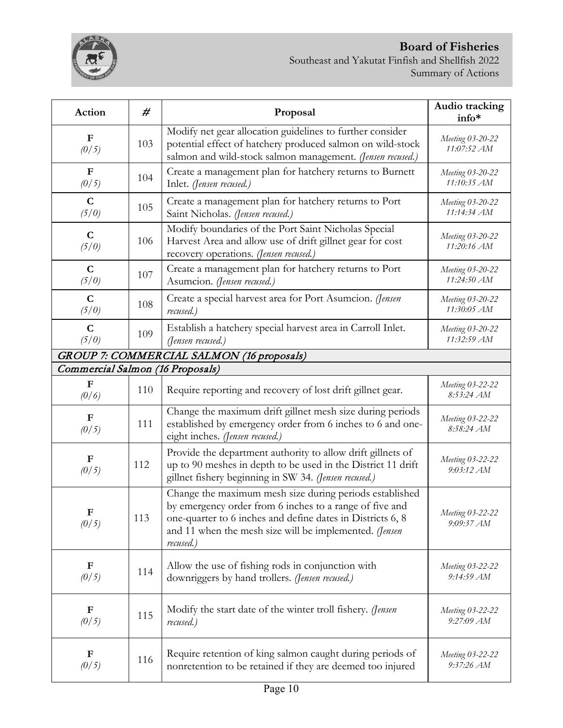| Action                           | #   | Proposal                                                                                                                                                                                                                                                | Audio tracking<br>info*         |
|----------------------------------|-----|---------------------------------------------------------------------------------------------------------------------------------------------------------------------------------------------------------------------------------------------------------|---------------------------------|
| $\mathbf F$<br>(0/5)             | 103 | Modify net gear allocation guidelines to further consider<br>potential effect of hatchery produced salmon on wild-stock<br>salmon and wild-stock salmon management. (Jensen recused.)                                                                   | Meeting 03-20-22<br>11:07:52 AM |
| $\mathbf F$<br>(0/5)             | 104 | Create a management plan for hatchery returns to Burnett<br>Inlet. (Jensen recused.)                                                                                                                                                                    | Meeting 03-20-22<br>11:10:35 AM |
| $\mathbf C$<br>(5/0)             | 105 | Create a management plan for hatchery returns to Port<br>Saint Nicholas. (Jensen recused.)                                                                                                                                                              | Meeting 03-20-22<br>11:14:34 AM |
| $\mathbf C$<br>(5/0)             | 106 | Modify boundaries of the Port Saint Nicholas Special<br>Harvest Area and allow use of drift gillnet gear for cost<br>recovery operations. (Jensen recused.)                                                                                             | Meeting 03-20-22<br>11:20:16 AM |
| $\mathbf C$<br>(5/0)             | 107 | Create a management plan for hatchery returns to Port<br>Asumcion. (Jensen recused.)                                                                                                                                                                    | Meeting 03-20-22<br>11:24:50 AM |
| $\mathbf C$<br>(5/0)             | 108 | Create a special harvest area for Port Asumcion. (Jensen<br>recused.)                                                                                                                                                                                   | Meeting 03-20-22<br>11:30:05 AM |
| $\mathbf C$<br>(5/0)             | 109 | Establish a hatchery special harvest area in Carroll Inlet.<br>(Jensen recused.)                                                                                                                                                                        | Meeting 03-20-22<br>11:32:59 AM |
|                                  |     | GROUP 7: COMMERCIAL SALMON (16 proposals)                                                                                                                                                                                                               |                                 |
| Commercial Salmon (16 Proposals) |     |                                                                                                                                                                                                                                                         |                                 |
| F<br>(0/6)                       | 110 | Require reporting and recovery of lost drift gillnet gear.                                                                                                                                                                                              | Meeting 03-22-22<br>8:53:24 AM  |
| $\mathbf F$<br>(0/5)             | 111 | Change the maximum drift gillnet mesh size during periods<br>established by emergency order from 6 inches to 6 and one-<br>eight inches. (Jensen recused.)                                                                                              | Meeting 03-22-22<br>8:58:24 AM  |
| $\mathbf F$<br>(0/5)             | 112 | Provide the department authority to allow drift gillnets of<br>up to 90 meshes in depth to be used in the District 11 drift<br>gillnet fishery beginning in SW 34. (Jensen recused.)                                                                    | Meeting 03-22-22<br>9:03:12 AM  |
| $\mathbf F$<br>(0/5)             | 113 | Change the maximum mesh size during periods established<br>by emergency order from 6 inches to a range of five and<br>one-quarter to 6 inches and define dates in Districts 6, 8<br>and 11 when the mesh size will be implemented. (Jensen<br>recused.) | Meeting 03-22-22<br>9:09:37 AM  |
| $\mathbf F$<br>(0/5)             | 114 | Allow the use of fishing rods in conjunction with<br>downriggers by hand trollers. (Jensen recused.)                                                                                                                                                    | Meeting 03-22-22<br>9:14:59 AM  |
| $\mathbf F$<br>(0/5)             | 115 | Modify the start date of the winter troll fishery. (Jensen<br>recused.)                                                                                                                                                                                 | Meeting 03-22-22<br>9:27:09 AM  |
| $\mathbf F$<br>(0/5)             | 116 | Require retention of king salmon caught during periods of<br>nonretention to be retained if they are deemed too injured                                                                                                                                 | Meeting 03-22-22<br>9:37:26 AM  |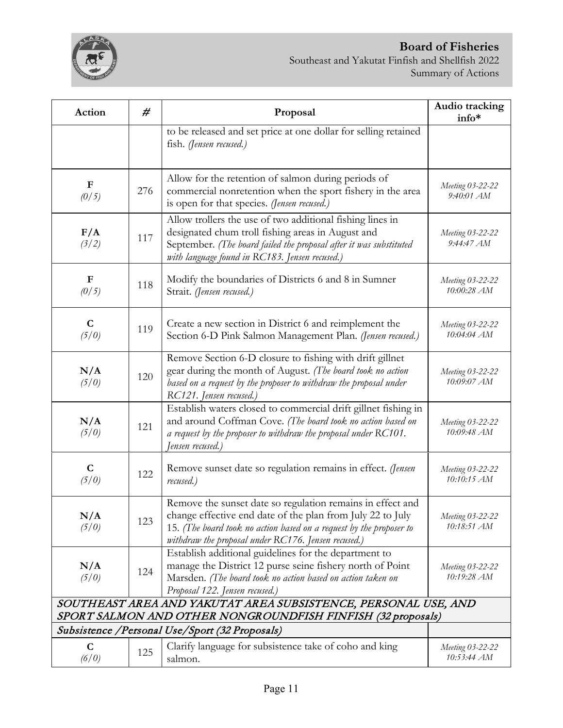

| Action                                                                                                                        | #   | Proposal                                                                                                                                                                                                                                               | Audio tracking<br>info*         |
|-------------------------------------------------------------------------------------------------------------------------------|-----|--------------------------------------------------------------------------------------------------------------------------------------------------------------------------------------------------------------------------------------------------------|---------------------------------|
|                                                                                                                               |     | to be released and set price at one dollar for selling retained<br>fish. (Jensen recused.)                                                                                                                                                             |                                 |
| $\mathbf F$<br>(0/5)                                                                                                          | 276 | Allow for the retention of salmon during periods of<br>commercial nonretention when the sport fishery in the area<br>is open for that species. (Jensen recused.)                                                                                       | Meeting 03-22-22<br>9:40:01 AM  |
| F/A<br>(3/2)                                                                                                                  | 117 | Allow trollers the use of two additional fishing lines in<br>designated chum troll fishing areas in August and<br>September. (The board failed the proposal after it was substituted<br>with language found in RC183. Jensen recused.)                 | Meeting 03-22-22<br>9:44:47 AM  |
| ${\bf F}$<br>(0/5)                                                                                                            | 118 | Modify the boundaries of Districts 6 and 8 in Sumner<br>Strait. (Jensen recused.)                                                                                                                                                                      | Meeting 03-22-22<br>10:00:28 AM |
| $\mathbf C$<br>(5/0)                                                                                                          | 119 | Create a new section in District 6 and reimplement the<br>Section 6-D Pink Salmon Management Plan. (Jensen recused.)                                                                                                                                   | Meeting 03-22-22<br>10:04:04 AM |
| N/A<br>(5/0)                                                                                                                  | 120 | Remove Section 6-D closure to fishing with drift gillnet<br>gear during the month of August. (The board took no action<br>based on a request by the proposer to withdraw the proposal under<br>RC121. Jensen recused.)                                 | Meeting 03-22-22<br>10:09:07 AM |
| N/A<br>(5/0)                                                                                                                  | 121 | Establish waters closed to commercial drift gillnet fishing in<br>and around Coffman Cove. (The board took no action based on<br>a request by the proposer to withdraw the proposal under RC101.<br>Jensen recused.)                                   | Meeting 03-22-22<br>10:09:48 AM |
| $\mathbf C$<br>(5/0)                                                                                                          | 122 | Remove sunset date so regulation remains in effect. (Jensen<br>recused.)                                                                                                                                                                               | Meeting 03-22-22<br>10:10:15 AM |
| N/A<br>(5/0)                                                                                                                  | 123 | Remove the sunset date so regulation remains in effect and<br>change effective end date of the plan from July 22 to July<br>15. (The board took no action based on a request by the proposer to<br>withdraw the proposal under RC176. Jensen recused.) | Meeting 03-22-22<br>10:18:51 AM |
| N/A<br>(5/0)                                                                                                                  | 124 | Establish additional guidelines for the department to<br>manage the District 12 purse seine fishery north of Point<br>Marsden. (The board took no action based on action taken on<br>Proposal 122. Jensen recused.)                                    | Meeting 03-22-22<br>10:19:28 AM |
| SOUTHEAST AREA AND YAKUTAT AREA SUBSISTENCE, PERSONAL USE, AND<br>SPORT SALMON AND OTHER NONGROUNDFISH FINFISH (32 proposals) |     |                                                                                                                                                                                                                                                        |                                 |
|                                                                                                                               |     | Subsistence / Personal Use/Sport (32 Proposals)                                                                                                                                                                                                        |                                 |
| $\mathbf C$<br>(6/0)                                                                                                          | 125 | Clarify language for subsistence take of coho and king<br>salmon.                                                                                                                                                                                      | Meeting 03-22-22<br>10:53:44 AM |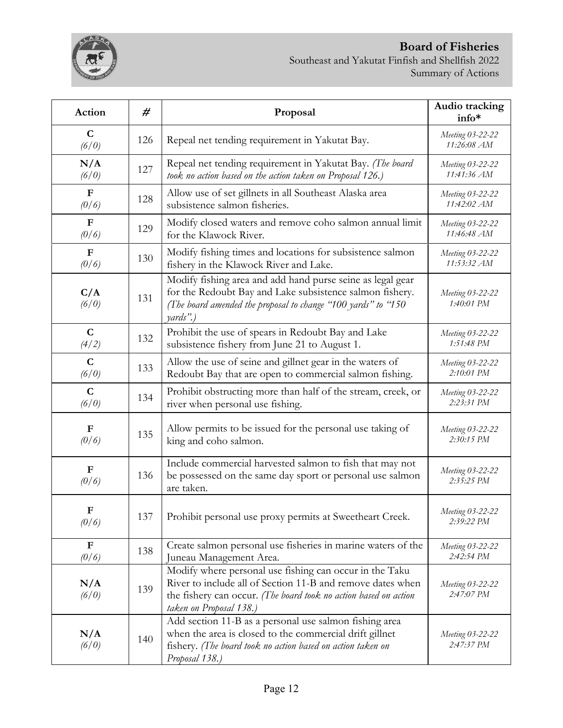

| Action                | #   | Proposal                                                                                                                                                                                                             | Audio tracking<br>info*         |
|-----------------------|-----|----------------------------------------------------------------------------------------------------------------------------------------------------------------------------------------------------------------------|---------------------------------|
| $\mathbf C$<br>(6/0)  | 126 | Repeal net tending requirement in Yakutat Bay.                                                                                                                                                                       | Meeting 03-22-22<br>11:26:08 AM |
| N/A                   | 127 | Repeal net tending requirement in Yakutat Bay. (The board                                                                                                                                                            | Meeting 03-22-22                |
| (6/0)                 |     | took no action based on the action taken on Proposal 126.)                                                                                                                                                           | 11:41:36 AM                     |
| $\mathbf F$           | 128 | Allow use of set gillnets in all Southeast Alaska area                                                                                                                                                               | Meeting 03-22-22                |
| (0/6)                 |     | subsistence salmon fisheries.                                                                                                                                                                                        | 11:42:02 AM                     |
| $\mathbf F$           | 129 | Modify closed waters and remove coho salmon annual limit                                                                                                                                                             | Meeting 03-22-22                |
| (0/6)                 |     | for the Klawock River.                                                                                                                                                                                               | 11:46:48 AM                     |
| $\mathbf{F}$          | 130 | Modify fishing times and locations for subsistence salmon                                                                                                                                                            | Meeting 03-22-22                |
| (0/6)                 |     | fishery in the Klawock River and Lake.                                                                                                                                                                               | 11:53:32 AM                     |
| C/A<br>(6/0)          | 131 | Modify fishing area and add hand purse seine as legal gear<br>for the Redoubt Bay and Lake subsistence salmon fishery.<br>(The board amended the proposal to change "100 yards" to "150<br>$\gamma$ ards".)          | Meeting 03-22-22<br>1:40:01 PM  |
| $\mathbf C$           | 132 | Prohibit the use of spears in Redoubt Bay and Lake                                                                                                                                                                   | Meeting 03-22-22                |
| (4/2)                 |     | subsistence fishery from June 21 to August 1.                                                                                                                                                                        | 1:51:48 PM                      |
| $\mathbf C$           | 133 | Allow the use of seine and gillnet gear in the waters of                                                                                                                                                             | Meeting 03-22-22                |
| (6/0)                 |     | Redoubt Bay that are open to commercial salmon fishing.                                                                                                                                                              | 2:10:01 PM                      |
| $\mathbf C$           | 134 | Prohibit obstructing more than half of the stream, creek, or                                                                                                                                                         | Meeting 03-22-22                |
| (6/0)                 |     | river when personal use fishing.                                                                                                                                                                                     | 2:23:31 PM                      |
| $\mathbf F$           | 135 | Allow permits to be issued for the personal use taking of                                                                                                                                                            | Meeting 03-22-22                |
| (0/6)                 |     | king and coho salmon.                                                                                                                                                                                                | 2:30:15 PM                      |
| $\mathbf{F}$<br>(0/6) | 136 | Include commercial harvested salmon to fish that may not<br>be possessed on the same day sport or personal use salmon<br>are taken.                                                                                  | Meeting 03-22-22<br>2:35:25 PM  |
| F<br>(0/6)            | 137 | Prohibit personal use proxy permits at Sweetheart Creek.                                                                                                                                                             | Meeting 03-22-22<br>2:39:22 PM  |
| $\mathbf F$           | 138 | Create salmon personal use fisheries in marine waters of the                                                                                                                                                         | Meeting 03-22-22                |
| (0/6)                 |     | Juneau Management Area.                                                                                                                                                                                              | 2:42:54 PM                      |
| N/A<br>(6/0)          | 139 | Modify where personal use fishing can occur in the Taku<br>River to include all of Section 11-B and remove dates when<br>the fishery can occur. (The board took no action based on action<br>taken on Proposal 138.) | Meeting 03-22-22<br>2:47:07 PM  |
| N/A<br>(6/0)          | 140 | Add section 11-B as a personal use salmon fishing area<br>when the area is closed to the commercial drift gillnet<br>fishery. (The board took no action based on action taken on<br>Proposal 138.)                   | Meeting 03-22-22<br>2:47:37 PM  |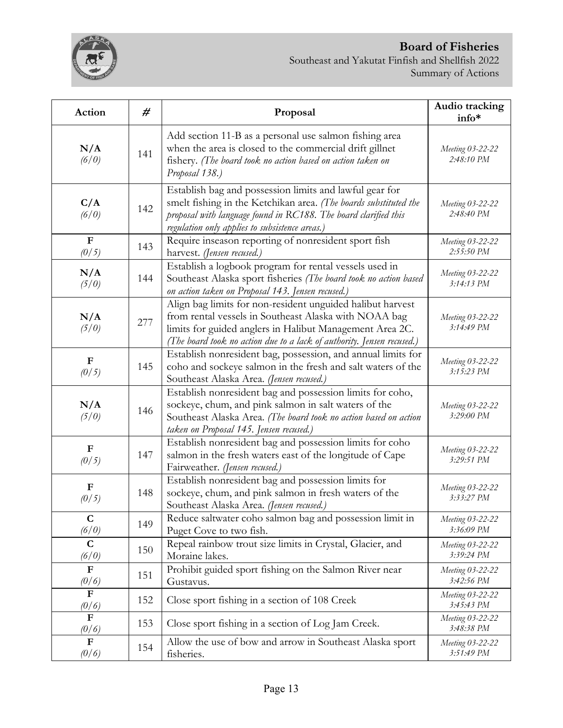

| Action                           | #   | Proposal                                                                                                                                                                                                                                                  | Audio tracking<br>info*        |
|----------------------------------|-----|-----------------------------------------------------------------------------------------------------------------------------------------------------------------------------------------------------------------------------------------------------------|--------------------------------|
| N/A<br>(6/0)                     | 141 | Add section 11-B as a personal use salmon fishing area<br>when the area is closed to the commercial drift gillnet<br>fishery. (The board took no action based on action taken on<br>Proposal 138.)                                                        | Meeting 03-22-22<br>2:48:10 PM |
| C/A<br>(6/0)                     | 142 | Establish bag and possession limits and lawful gear for<br>smelt fishing in the Ketchikan area. (The boards substituted the<br>proposal with language found in RC188. The board clarified this<br>regulation only applies to subsistence areas.)          | Meeting 03-22-22<br>2:48:40 PM |
| $\mathbf F$<br>(0/5)             | 143 | Require inseason reporting of nonresident sport fish<br>harvest. (Jensen recused.)                                                                                                                                                                        | Meeting 03-22-22<br>2:55:50 PM |
| N/A<br>(5/0)                     | 144 | Establish a logbook program for rental vessels used in<br>Southeast Alaska sport fisheries (The board took no action based<br>on action taken on Proposal 143. Jensen recused.)                                                                           | Meeting 03-22-22<br>3:14:13 PM |
| N/A<br>(5/0)                     | 277 | Align bag limits for non-resident unguided halibut harvest<br>from rental vessels in Southeast Alaska with NOAA bag<br>limits for guided anglers in Halibut Management Area 2C.<br>(The board took no action due to a lack of authority. Jensen recused.) | Meeting 03-22-22<br>3:14:49 PM |
| ${\bf F}$<br>(0/5)               | 145 | Establish nonresident bag, possession, and annual limits for<br>coho and sockeye salmon in the fresh and salt waters of the<br>Southeast Alaska Area. (Jensen recused.)                                                                                   | Meeting 03-22-22<br>3:15:23 PM |
| N/A<br>(5/0)                     | 146 | Establish nonresident bag and possession limits for coho,<br>sockeye, chum, and pink salmon in salt waters of the<br>Southeast Alaska Area. (The board took no action based on action<br>taken on Proposal 145. Jensen recused.)                          | Meeting 03-22-22<br>3:29:00 PM |
| ${\bf F}$<br>(0/5)               | 147 | Establish nonresident bag and possession limits for coho<br>salmon in the fresh waters east of the longitude of Cape<br>Fairweather. (Jensen recused.)                                                                                                    | Meeting 03-22-22<br>3:29:51 PM |
| $\mathbf F$<br>(0/5)             | 148 | Establish nonresident bag and possession limits for<br>sockeye, chum, and pink salmon in fresh waters of the<br>Southeast Alaska Area. (Jensen recused.)                                                                                                  | Meeting 03-22-22<br>3:33:27 PM |
| $\mathbf C$<br>(6/0)             | 149 | Reduce saltwater coho salmon bag and possession limit in<br>Puget Cove to two fish.                                                                                                                                                                       | Meeting 03-22-22<br>3:36:09 PM |
| $\mathbf C$<br>(6/0)             | 150 | Repeal rainbow trout size limits in Crystal, Glacier, and<br>Moraine lakes.                                                                                                                                                                               | Meeting 03-22-22<br>3:39:24 PM |
| F<br>(0/6)                       | 151 | Prohibit guided sport fishing on the Salmon River near<br>Gustavus.                                                                                                                                                                                       | Meeting 03-22-22<br>3:42:56 PM |
| $\overline{\mathrm{F}}$<br>(0/6) | 152 | Close sport fishing in a section of 108 Creek                                                                                                                                                                                                             | Meeting 03-22-22<br>3:45:43 PM |
| $\overline{\mathbf{F}}$<br>(0/6) | 153 | Close sport fishing in a section of Log Jam Creek.                                                                                                                                                                                                        | Meeting 03-22-22<br>3:48:38 PM |
| $\mathbf{F}$<br>(0/6)            | 154 | Allow the use of bow and arrow in Southeast Alaska sport<br>fisheries.                                                                                                                                                                                    | Meeting 03-22-22<br>3:51:49 PM |